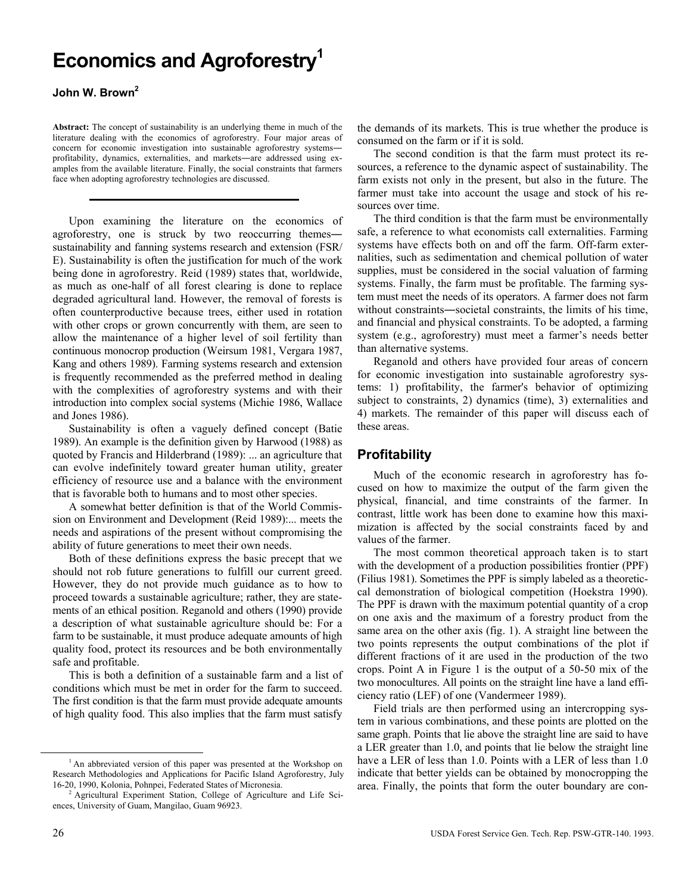# **Economics and Agroforestry1**

### John W. Brown<sup>2</sup>

**Abstract:** The concept of sustainability is an underlying theme in much of the literature dealing with the economics of agroforestry. Four major areas of concern for economic investigation into sustainable agroforestry systems― profitability, dynamics, externalities, and markets―are addressed using examples from the available literature. Finally, the social constraints that farmers face when adopting agroforestry technologies are discussed.

Upon examining the literature on the economics of agroforestry, one is struck by two reoccurring themes― sustainability and fanning systems research and extension (FSR/ E). Sustainability is often the justification for much of the work being done in agroforestry. Reid (1989) states that, worldwide, as much as one-half of all forest clearing is done to replace degraded agricultural land. However, the removal of forests is often counterproductive because trees, either used in rotation with other crops or grown concurrently with them, are seen to allow the maintenance of a higher level of soil fertility than continuous monocrop production (Weirsum 1981, Vergara 1987, Kang and others 1989). Farming systems research and extension is frequently recommended as the preferred method in dealing with the complexities of agroforestry systems and with their introduction into complex social systems (Michie 1986, Wallace and Jones 1986).

Sustainability is often a vaguely defined concept (Batie 1989). An example is the definition given by Harwood (1988) as quoted by Francis and Hilderbrand (1989): ... an agriculture that can evolve indefinitely toward greater human utility, greater efficiency of resource use and a balance with the environment that is favorable both to humans and to most other species.

A somewhat better definition is that of the World Commission on Environment and Development (Reid 1989):... meets the needs and aspirations of the present without compromising the ability of future generations to meet their own needs.

Both of these definitions express the basic precept that we should not rob future generations to fulfill our current greed. However, they do not provide much guidance as to how to proceed towards a sustainable agriculture; rather, they are statements of an ethical position. Reganold and others (1990) provide a description of what sustainable agriculture should be: For a farm to be sustainable, it must produce adequate amounts of high quality food, protect its resources and be both environmentally safe and profitable.

This is both a definition of a sustainable farm and a list of conditions which must be met in order for the farm to succeed. The first condition is that the farm must provide adequate amounts of high quality food. This also implies that the farm must satisfy

the demands of its markets. This is true whether the produce is consumed on the farm or if it is sold.

The second condition is that the farm must protect its resources, a reference to the dynamic aspect of sustainability. The farm exists not only in the present, but also in the future. The farmer must take into account the usage and stock of his resources over time.

The third condition is that the farm must be environmentally safe, a reference to what economists call externalities. Farming systems have effects both on and off the farm. Off-farm externalities, such as sedimentation and chemical pollution of water supplies, must be considered in the social valuation of farming systems. Finally, the farm must be profitable. The farming system must meet the needs of its operators. A farmer does not farm without constraints―societal constraints, the limits of his time, and financial and physical constraints. To be adopted, a farming system (e.g., agroforestry) must meet a farmer's needs better than alternative systems.

Reganold and others have provided four areas of concern for economic investigation into sustainable agroforestry systems: 1) profitability, the farmer's behavior of optimizing subject to constraints, 2) dynamics (time), 3) externalities and 4) markets. The remainder of this paper will discuss each of these areas.

# **Profitability**

Much of the economic research in agroforestry has focused on how to maximize the output of the farm given the physical, financial, and time constraints of the farmer. In contrast, little work has been done to examine how this maximization is affected by the social constraints faced by and values of the farmer.

The most common theoretical approach taken is to start with the development of a production possibilities frontier (PPF) (Filius 1981). Sometimes the PPF is simply labeled as a theoreticcal demonstration of biological competition (Hoekstra 1990). The PPF is drawn with the maximum potential quantity of a crop on one axis and the maximum of a forestry product from the same area on the other axis (fig. 1). A straight line between the two points represents the output combinations of the plot if different fractions of it are used in the production of the two crops. Point A in Figure 1 is the output of a 50-50 mix of the two monocultures. All points on the straight line have a land efficiency ratio (LEF) of one (Vandermeer 1989).

Field trials are then performed using an intercropping system in various combinations, and these points are plotted on the same graph. Points that lie above the straight line are said to have a LER greater than 1.0, and points that lie below the straight line have a LER of less than 1.0. Points with a LER of less than 1.0 indicate that better yields can be obtained by monocropping the area. Finally, the points that form the outer boundary are con-

<sup>&</sup>lt;sup>1</sup> An abbreviated version of this paper was presented at the Workshop on Research Methodologies and Applications for Pacific Island Agroforestry, July 16-20, 1990, Kolonia, Pohnpei, Federated States of Micronesia. 2

Agricultural Experiment Station, College of Agriculture and Life Sciences, University of Guam, Mangilao, Guam 96923.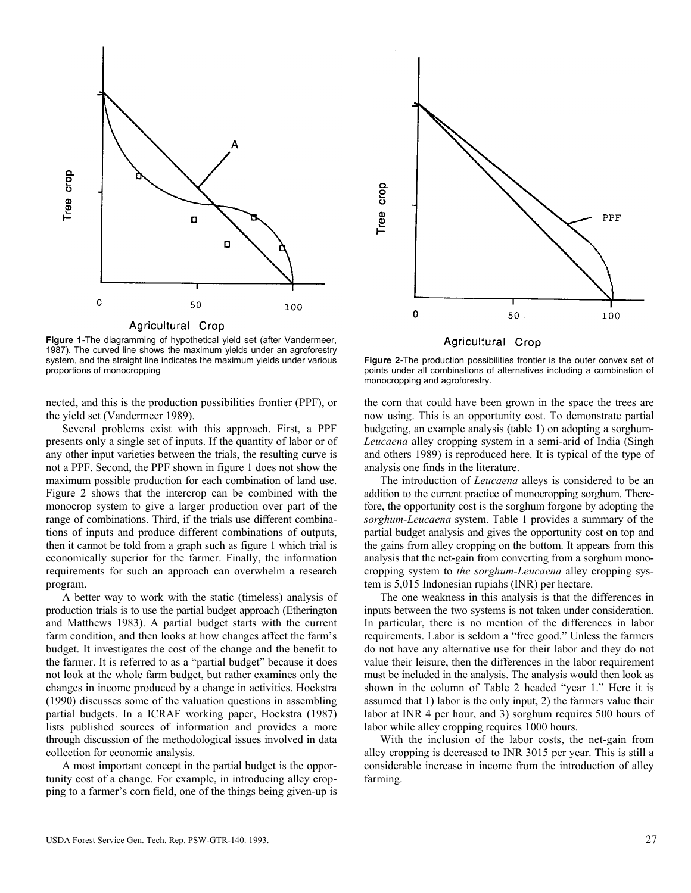

**Figure 1-**The diagramming of hypothetical yield set (after Vandermeer, 1987). The curved line shows the maximum yields under an agroforestry system, and the straight line indicates the maximum yields under various proportions of monocropping

nected, and this is the production possibilities frontier (PPF), or the yield set (Vandermeer 1989).

Several problems exist with this approach. First, a PPF presents only a single set of inputs. If the quantity of labor or of any other input varieties between the trials, the resulting curve is not a PPF. Second, the PPF shown in figure 1 does not show the maximum possible production for each combination of land use. Figure 2 shows that the intercrop can be combined with the monocrop system to give a larger production over part of the range of combinations. Third, if the trials use different combinations of inputs and produce different combinations of outputs, then it cannot be told from a graph such as figure 1 which trial is economically superior for the farmer. Finally, the information requirements for such an approach can overwhelm a research program.

A better way to work with the static (timeless) analysis of production trials is to use the partial budget approach (Etherington and Matthews 1983). A partial budget starts with the current farm condition, and then looks at how changes affect the farm's budget. It investigates the cost of the change and the benefit to the farmer. It is referred to as a "partial budget" because it does not look at the whole farm budget, but rather examines only the changes in income produced by a change in activities. Hoekstra (1990) discusses some of the valuation questions in assembling partial budgets. In a ICRAF working paper, Hoekstra (1987) lists published sources of information and provides a more through discussion of the methodological issues involved in data collection for economic analysis.

A most important concept in the partial budget is the opportunity cost of a change. For example, in introducing alley cropping to a farmer's corn field, one of the things being given-up is



Agricultural Crop

**Figure 2-**The production possibilities frontier is the outer convex set of points under all combinations of alternatives including a combination of monocropping and agroforestry.

the corn that could have been grown in the space the trees are now using. This is an opportunity cost. To demonstrate partial budgeting, an example analysis (table 1) on adopting a sorghum-*Leucaena* alley cropping system in a semi-arid of India (Singh and others 1989) is reproduced here. It is typical of the type of analysis one finds in the literature.

The introduction of *Leucaena* alleys is considered to be an addition to the current practice of monocropping sorghum. Therefore, the opportunity cost is the sorghum forgone by adopting the *sorghum-Leucaena* system. Table 1 provides a summary of the partial budget analysis and gives the opportunity cost on top and the gains from alley cropping on the bottom. It appears from this analysis that the net-gain from converting from a sorghum monocropping system to *the sorghum-Leucaena* alley cropping system is 5,015 Indonesian rupiahs (INR) per hectare.

The one weakness in this analysis is that the differences in inputs between the two systems is not taken under consideration. In particular, there is no mention of the differences in labor requirements. Labor is seldom a "free good." Unless the farmers do not have any alternative use for their labor and they do not value their leisure, then the differences in the labor requirement must be included in the analysis. The analysis would then look as shown in the column of Table 2 headed "year 1." Here it is assumed that 1) labor is the only input, 2) the farmers value their labor at INR 4 per hour, and 3) sorghum requires 500 hours of labor while alley cropping requires 1000 hours.

With the inclusion of the labor costs, the net-gain from alley cropping is decreased to INR 3015 per year. This is still a considerable increase in income from the introduction of alley farming.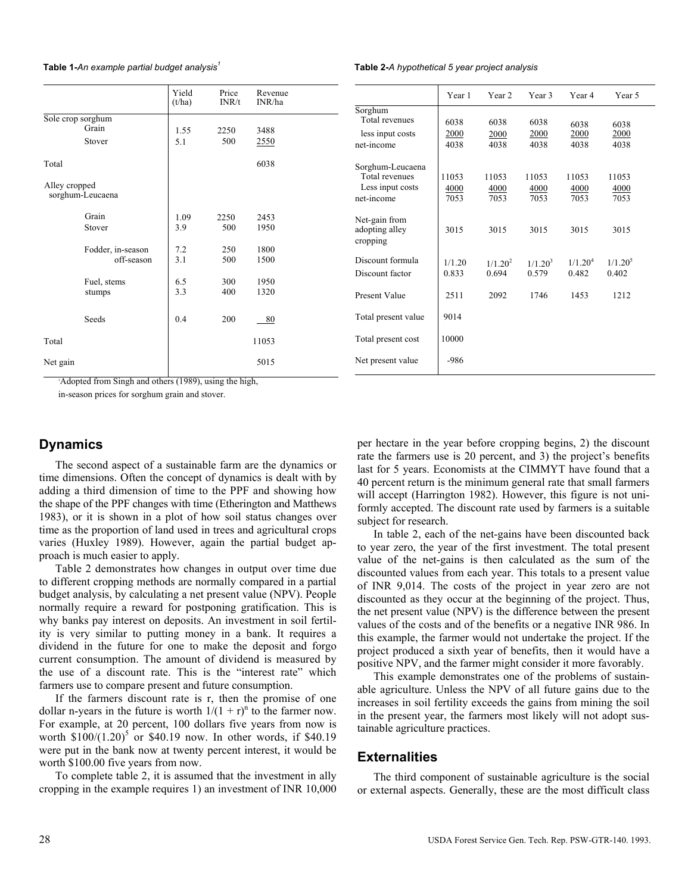**Table 1-***An example partial budget analysis<sup>1</sup>***Table 2-***A hypothetical 5 year project analysis* 

|                   |                   | Yield<br>(t/ha) | Price<br>INR/t | Revenue<br>INR/ha | Sorghum                            |
|-------------------|-------------------|-----------------|----------------|-------------------|------------------------------------|
| Sole crop sorghum |                   |                 |                |                   | Total revenues                     |
| Grain             |                   | 1.55            | 2250           | 3488              | less input costs                   |
|                   | Stover            | 5.1             | 500            | 2550              | net-income                         |
| Total             |                   |                 |                | 6038              | Sorghum-Leucaena<br>Total revenues |
| Alley cropped     |                   |                 |                |                   | Less input costs                   |
|                   | sorghum-Leucaena  |                 |                |                   | net-income                         |
|                   | Grain             | 1.09            | 2250           | 2453              | Net-gain from                      |
|                   | Stover            | 3.9             | 500            | 1950              | adopting alley<br>cropping         |
|                   | Fodder, in-season | 7.2             | 250            | 1800              |                                    |
|                   | off-season        | 3.1             | 500            | 1500              | Discount formula                   |
|                   |                   |                 |                |                   | Discount factor                    |
|                   | Fuel, stems       | 6.5             | 300            | 1950              |                                    |
|                   | stumps            | 3.3             | 400            | 1320              | Present Value                      |
|                   | Seeds             | 0.4             | 200            | 80                | Total present value                |
| Total             |                   |                 |                | 11053             | Total present cost                 |
| Net gain          |                   |                 |                | 5015              | Net present value                  |

1 Adopted from Singh and others (1989), using the high,

in-season prices for sorghum grain and stover.

#### **Dynamics**

The second aspect of a sustainable farm are the dynamics or time dimensions. Often the concept of dynamics is dealt with by adding a third dimension of time to the PPF and showing how the shape of the PPF changes with time (Etherington and Matthews 1983), or it is shown in a plot of how soil status changes over time as the proportion of land used in trees and agricultural crops varies (Huxley 1989). However, again the partial budget approach is much easier to apply.

Table 2 demonstrates how changes in output over time due to different cropping methods are normally compared in a partial budget analysis, by calculating a net present value (NPV). People normally require a reward for postponing gratification. This is why banks pay interest on deposits. An investment in soil fertility is very similar to putting money in a bank. It requires a dividend in the future for one to make the deposit and forgo current consumption. The amount of dividend is measured by the use of a discount rate. This is the "interest rate" which farmers use to compare present and future consumption.

If the farmers discount rate is r, then the promise of one dollar n-years in the future is worth  $1/(1 + r)^n$  to the farmer now. For example, at 20 percent, 100 dollars five years from now is worth  $$100/(1.20)^5$  or \$40.19 now. In other words, if \$40.19 were put in the bank now at twenty percent interest, it would be worth \$100.00 five years from now.

To complete table 2, it is assumed that the investment in ally cropping in the example requires 1) an investment of INR 10,000

|                                                                      | Year 1                | Year 2                       | Year 3                       | Year 4                       | Year 5                       |
|----------------------------------------------------------------------|-----------------------|------------------------------|------------------------------|------------------------------|------------------------------|
| Sorghum<br>Total revenues<br>less input costs<br>net-income          | 6038<br>2000<br>4038  | 6038<br>2000<br>4038         | 6038<br>2000<br>4038         | 6038<br>2000<br>4038         | 6038<br>2000<br>4038         |
| Sorghum-Leucaena<br>Total revenues<br>Less input costs<br>net-income | 11053<br>4000<br>7053 | 11053<br>4000<br>7053        | 11053<br>4000<br>7053        | 11053<br>4000<br>7053        | 11053<br>4000<br>7053        |
| Net-gain from<br>adopting alley<br>cropping                          | 3015                  | 3015                         | 3015                         | 3015                         | 3015                         |
| Discount formula<br>Discount factor                                  | 1/1.20<br>0.833       | 1/1.20 <sup>2</sup><br>0.694 | 1/1.20 <sup>3</sup><br>0.579 | 1/1.20 <sup>4</sup><br>0.482 | 1/1.20 <sup>5</sup><br>0.402 |
| <b>Present Value</b>                                                 | 2511                  | 2092                         | 1746                         | 1453                         | 1212                         |
| Total present value                                                  | 9014                  |                              |                              |                              |                              |
| Total present cost                                                   | 10000                 |                              |                              |                              |                              |
| Net present value                                                    | -986                  |                              |                              |                              |                              |

per hectare in the year before cropping begins, 2) the discount rate the farmers use is 20 percent, and 3) the project's benefits last for 5 years. Economists at the CIMMYT have found that a 40 percent return is the minimum general rate that small farmers will accept (Harrington 1982). However, this figure is not uniformly accepted. The discount rate used by farmers is a suitable subject for research.

In table 2, each of the net-gains have been discounted back to year zero, the year of the first investment. The total present value of the net-gains is then calculated as the sum of the discounted values from each year. This totals to a present value of INR 9,014. The costs of the project in year zero are not discounted as they occur at the beginning of the project. Thus, the net present value (NPV) is the difference between the present values of the costs and of the benefits or a negative INR 986. In this example, the farmer would not undertake the project. If the project produced a sixth year of benefits, then it would have a positive NPV, and the farmer might consider it more favorably.

This example demonstrates one of the problems of sustainable agriculture. Unless the NPV of all future gains due to the increases in soil fertility exceeds the gains from mining the soil in the present year, the farmers most likely will not adopt sustainable agriculture practices.

#### **Externalities**

The third component of sustainable agriculture is the social or external aspects. Generally, these are the most difficult class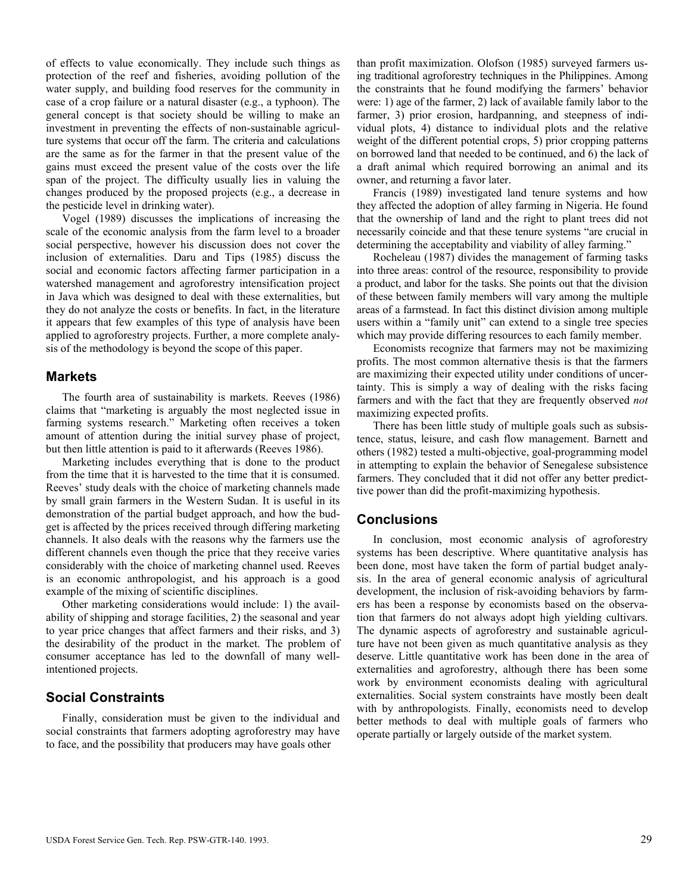of effects to value economically. They include such things as protection of the reef and fisheries, avoiding pollution of the water supply, and building food reserves for the community in case of a crop failure or a natural disaster (e.g., a typhoon). The general concept is that society should be willing to make an investment in preventing the effects of non-sustainable agriculture systems that occur off the farm. The criteria and calculations are the same as for the farmer in that the present value of the gains must exceed the present value of the costs over the life span of the project. The difficulty usually lies in valuing the changes produced by the proposed projects (e.g., a decrease in the pesticide level in drinking water).

Vogel (1989) discusses the implications of increasing the scale of the economic analysis from the farm level to a broader social perspective, however his discussion does not cover the inclusion of externalities. Daru and Tips (1985) discuss the social and economic factors affecting farmer participation in a watershed management and agroforestry intensification project in Java which was designed to deal with these externalities, but they do not analyze the costs or benefits. In fact, in the literature it appears that few examples of this type of analysis have been applied to agroforestry projects. Further, a more complete analysis of the methodology is beyond the scope of this paper.

#### **Markets**

The fourth area of sustainability is markets. Reeves (1986) claims that "marketing is arguably the most neglected issue in farming systems research." Marketing often receives a token amount of attention during the initial survey phase of project, but then little attention is paid to it afterwards (Reeves 1986).

Marketing includes everything that is done to the product from the time that it is harvested to the time that it is consumed. Reeves' study deals with the choice of marketing channels made by small grain farmers in the Western Sudan. It is useful in its demonstration of the partial budget approach, and how the budget is affected by the prices received through differing marketing channels. It also deals with the reasons why the farmers use the different channels even though the price that they receive varies considerably with the choice of marketing channel used. Reeves is an economic anthropologist, and his approach is a good example of the mixing of scientific disciplines.

Other marketing considerations would include: 1) the availability of shipping and storage facilities, 2) the seasonal and year to year price changes that affect farmers and their risks, and 3) the desirability of the product in the market. The problem of consumer acceptance has led to the downfall of many wellintentioned projects.

# **Social Constraints**

Finally, consideration must be given to the individual and social constraints that farmers adopting agroforestry may have to face, and the possibility that producers may have goals other

than profit maximization. Olofson (1985) surveyed farmers using traditional agroforestry techniques in the Philippines. Among the constraints that he found modifying the farmers' behavior were: 1) age of the farmer, 2) lack of available family labor to the farmer, 3) prior erosion, hardpanning, and steepness of individual plots, 4) distance to individual plots and the relative weight of the different potential crops, 5) prior cropping patterns on borrowed land that needed to be continued, and 6) the lack of a draft animal which required borrowing an animal and its owner, and returning a favor later.

Francis (1989) investigated land tenure systems and how they affected the adoption of alley farming in Nigeria. He found that the ownership of land and the right to plant trees did not necessarily coincide and that these tenure systems "are crucial in determining the acceptability and viability of alley farming."

Rocheleau (1987) divides the management of farming tasks into three areas: control of the resource, responsibility to provide a product, and labor for the tasks. She points out that the division of these between family members will vary among the multiple areas of a farmstead. In fact this distinct division among multiple users within a "family unit" can extend to a single tree species which may provide differing resources to each family member.

Economists recognize that farmers may not be maximizing profits. The most common alternative thesis is that the farmers are maximizing their expected utility under conditions of uncertainty. This is simply a way of dealing with the risks facing farmers and with the fact that they are frequently observed *not*  maximizing expected profits.

There has been little study of multiple goals such as subsistence, status, leisure, and cash flow management. Barnett and others (1982) tested a multi-objective, goal-programming model in attempting to explain the behavior of Senegalese subsistence farmers. They concluded that it did not offer any better predicttive power than did the profit-maximizing hypothesis.

# **Conclusions**

In conclusion, most economic analysis of agroforestry systems has been descriptive. Where quantitative analysis has been done, most have taken the form of partial budget analysis. In the area of general economic analysis of agricultural development, the inclusion of risk-avoiding behaviors by farmers has been a response by economists based on the observation that farmers do not always adopt high yielding cultivars. The dynamic aspects of agroforestry and sustainable agriculture have not been given as much quantitative analysis as they deserve. Little quantitative work has been done in the area of externalities and agroforestry, although there has been some work by environment economists dealing with agricultural externalities. Social system constraints have mostly been dealt with by anthropologists. Finally, economists need to develop better methods to deal with multiple goals of farmers who operate partially or largely outside of the market system.